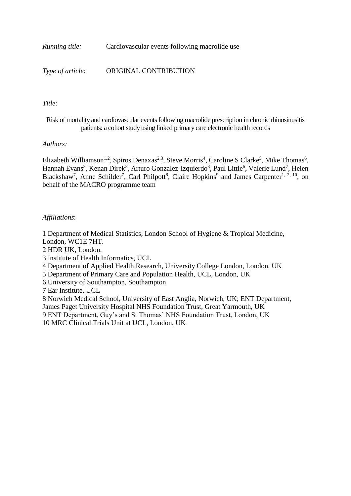*Running title:* Cardiovascular events following macrolide use

*Type of article*: ORIGINAL CONTRIBUTION

### *Title:*

Risk of mortality and cardiovascular events following macrolide prescription in chronic rhinosinusitis patients: a cohort study using linked primary care electronic health records

### *Authors:*

Elizabeth Williamson<sup>1,2</sup>, Spiros Denaxas<sup>2,3</sup>, Steve Morris<sup>4</sup>, Caroline S Clarke<sup>5</sup>, Mike Thomas<sup>6</sup>, Hannah Evans<sup>3</sup>, Kenan Direk<sup>3</sup>, Arturo Gonzalez-Izquierdo<sup>3</sup>, Paul Little<sup>6</sup>, Valerie Lund<sup>7</sup>, Helen Blackshaw<sup>7</sup>, Anne Schilder<sup>7</sup>, Carl Philpott<sup>8</sup>, Claire Hopkins<sup>9</sup> and James Carpenter<sup>1, 2, 10</sup>, on behalf of the MACRO programme team

### *Affiliations*:

1 Department of Medical Statistics, London School of Hygiene & Tropical Medicine, London, WC1E 7HT.

2 HDR UK, London.

3 Institute of Health Informatics, UCL

4 Department of Applied Health Research, University College London, London, UK

5 Department of Primary Care and Population Health, UCL, London, UK

6 University of Southampton, Southampton

7 Ear Institute, UCL

 Norwich Medical School, University of East Anglia, Norwich, UK; ENT Department, James Paget University Hospital NHS Foundation Trust, Great Yarmouth, UK ENT Department, Guy's and St Thomas' NHS Foundation Trust, London, UK MRC Clinical Trials Unit at UCL, London, UK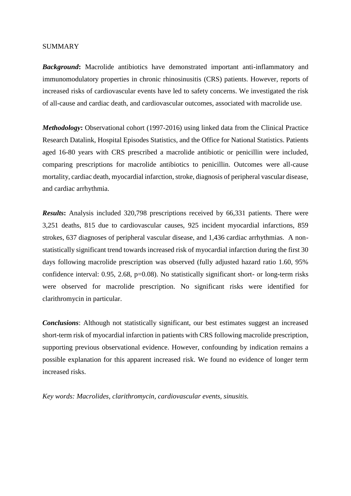#### SUMMARY

*Background***:** Macrolide antibiotics have demonstrated important anti-inflammatory and immunomodulatory properties in chronic rhinosinusitis (CRS) patients. However, reports of increased risks of cardiovascular events have led to safety concerns. We investigated the risk of all-cause and cardiac death, and cardiovascular outcomes, associated with macrolide use.

*Methodology*: Observational cohort (1997-2016) using linked data from the Clinical Practice Research Datalink, Hospital Episodes Statistics, and the Office for National Statistics. Patients aged 16-80 years with CRS prescribed a macrolide antibiotic or penicillin were included, comparing prescriptions for macrolide antibiotics to penicillin. Outcomes were all-cause mortality, cardiac death, myocardial infarction, stroke, diagnosis of peripheral vascular disease, and cardiac arrhythmia.

*Results***:** Analysis included 320,798 prescriptions received by 66,331 patients. There were 3,251 deaths, 815 due to cardiovascular causes, 925 incident myocardial infarctions, 859 strokes, 637 diagnoses of peripheral vascular disease, and 1,436 cardiac arrhythmias. A nonstatistically significant trend towards increased risk of myocardial infarction during the first 30 days following macrolide prescription was observed (fully adjusted hazard ratio 1.60, 95% confidence interval: 0.95, 2.68, p=0.08). No statistically significant short- or long-term risks were observed for macrolide prescription. No significant risks were identified for clarithromycin in particular.

*Conclusions*: Although not statistically significant, our best estimates suggest an increased short-term risk of myocardial infarction in patients with CRS following macrolide prescription, supporting previous observational evidence. However, confounding by indication remains a possible explanation for this apparent increased risk. We found no evidence of longer term increased risks.

*Key words: Macrolides, clarithromycin, cardiovascular events, sinusitis.*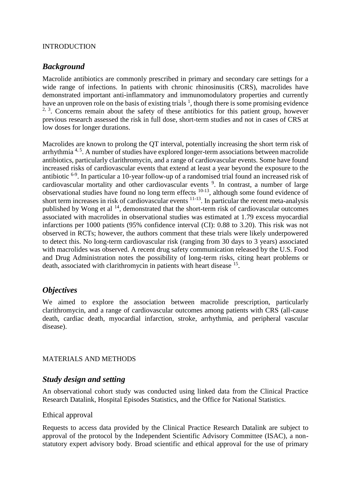#### INTRODUCTION

## *Background*

Macrolide antibiotics are commonly prescribed in primary and secondary care settings for a wide range of infections. In patients with chronic rhinosinusitis (CRS), macrolides have demonstrated important anti-inflammatory and immunomodulatory properties and currently have an unproven role on the basis of existing trials  $\frac{1}{2}$ , though there is some promising evidence  $2, 3$ . Concerns remain about the safety of these antibiotics for this patient group, however previous research assessed the risk in full dose, short-term studies and not in cases of CRS at low doses for longer durations.

Macrolides are known to prolong the QT interval, potentially increasing the short term risk of arrhythmia<sup>4, 5</sup>. A number of studies have explored longer-term associations between macrolide antibiotics, particularly clarithromycin, and a range of cardiovascular events. Some have found increased risks of cardiovascular events that extend at least a year beyond the exposure to the antibiotic <sup>6-9</sup>. In particular a 10-year follow-up of a randomised trial found an increased risk of cardiovascular mortality and other cardiovascular events<sup>9</sup>. In contrast, a number of large observational studies have found no long term effects  $10-13$ , although some found evidence of short term increases in risk of cardiovascular events  $11-13$ . In particular the recent meta-analysis published by Wong et al  $^{14}$ , demonstrated that the short-term risk of cardiovascular outcomes associated with macrolides in observational studies was estimated at 1.79 excess myocardial infarctions per 1000 patients (95% confidence interval (CI): 0.88 to 3.20). This risk was not observed in RCTs; however, the authors comment that these trials were likely underpowered to detect this. No long-term cardiovascular risk (ranging from 30 days to 3 years) associated with macrolides was observed. A recent drug safety communication released by the U.S. Food and Drug Administration notes the possibility of long-term risks, citing heart problems or death, associated with clarithromycin in patients with heart disease <sup>15</sup>.

## *Objectives*

We aimed to explore the association between macrolide prescription, particularly clarithromycin, and a range of cardiovascular outcomes among patients with CRS (all-cause death, cardiac death, myocardial infarction, stroke, arrhythmia, and peripheral vascular disease).

### MATERIALS AND METHODS

## *Study design and setting*

An observational cohort study was conducted using linked data from the Clinical Practice Research Datalink, Hospital Episodes Statistics, and the Office for National Statistics.

### Ethical approval

Requests to access data provided by the Clinical Practice Research Datalink are subject to approval of the protocol by the Independent Scientific Advisory Committee (ISAC), a nonstatutory expert advisory body. Broad scientific and ethical approval for the use of primary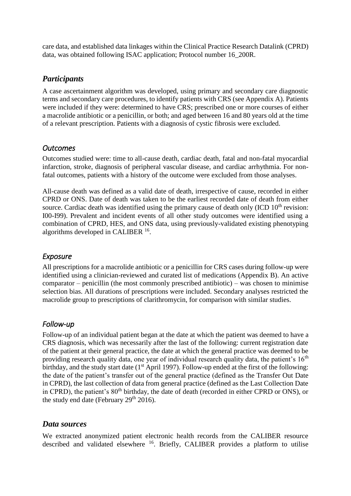care data, and established data linkages within the Clinical Practice Research Datalink (CPRD) data, was obtained following ISAC application; Protocol number 16\_200R.

# *Participants*

A case ascertainment algorithm was developed, using primary and secondary care diagnostic terms and secondary care procedures, to identify patients with CRS (see Appendix A). Patients were included if they were: determined to have CRS; prescribed one or more courses of either a macrolide antibiotic or a penicillin, or both; and aged between 16 and 80 years old at the time of a relevant prescription. Patients with a diagnosis of cystic fibrosis were excluded.

## *Outcomes*

Outcomes studied were: time to all-cause death, cardiac death, fatal and non-fatal myocardial infarction, stroke, diagnosis of peripheral vascular disease, and cardiac arrhythmia. For nonfatal outcomes, patients with a history of the outcome were excluded from those analyses.

All-cause death was defined as a valid date of death, irrespective of cause, recorded in either CPRD or ONS. Date of death was taken to be the earliest recorded date of death from either source. Cardiac death was identified using the primary cause of death only  $(ICD 10<sup>th</sup>$  revision: I00-I99). Prevalent and incident events of all other study outcomes were identified using a combination of CPRD, HES, and ONS data, using previously-validated existing phenotyping algorithms developed in CALIBER<sup>16</sup>.

# *Exposure*

All prescriptions for a macrolide antibiotic or a penicillin for CRS cases during follow-up were identified using a clinician-reviewed and curated list of medications (Appendix B). An active comparator – penicillin (the most commonly prescribed antibiotic) – was chosen to minimise selection bias. All durations of prescriptions were included. Secondary analyses restricted the macrolide group to prescriptions of clarithromycin, for comparison with similar studies.

# *Follow-up*

Follow-up of an individual patient began at the date at which the patient was deemed to have a CRS diagnosis, which was necessarily after the last of the following: current registration date of the patient at their general practice, the date at which the general practice was deemed to be providing research quality data, one year of individual research quality data, the patient's  $16<sup>th</sup>$ birthday, and the study start date ( $1<sup>st</sup>$  April 1997). Follow-up ended at the first of the following: the date of the patient's transfer out of the general practice (defined as the Transfer Out Date in CPRD), the last collection of data from general practice (defined as the Last Collection Date in CPRD), the patient's  $80<sup>th</sup>$  birthday, the date of death (recorded in either CPRD or ONS), or the study end date (February  $29<sup>th</sup> 2016$ ).

# *Data sources*

We extracted anonymized patient electronic health records from the CALIBER resource described and validated elsewhere <sup>16</sup>. Briefly, CALIBER provides a platform to utilise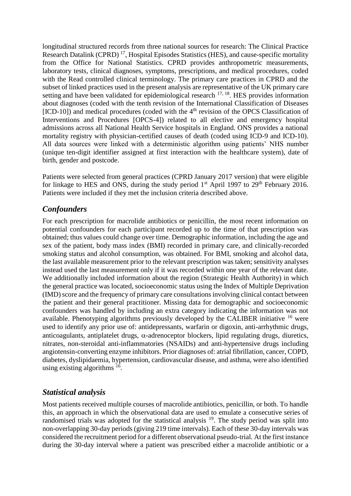longitudinal structured records from three national sources for research: The Clinical Practice Research Datalink (CPRD)<sup>17</sup>, Hospital Episodes Statistics (HES), and cause-specific mortality from the Office for National Statistics. CPRD provides anthropometric measurements, laboratory tests, clinical diagnoses, symptoms, prescriptions, and medical procedures, coded with the Read controlled clinical terminology. The primary care practices in CPRD and the subset of linked practices used in the present analysis are representative of the UK primary care setting and have been validated for epidemiological research  $17, 18$ . HES provides information about diagnoses (coded with the tenth revision of the International Classification of Diseases  $[ICD-10]$ ) and medical procedures (coded with the  $4<sup>th</sup>$  revision of the OPCS Classification of Interventions and Procedures [OPCS-4]) related to all elective and emergency hospital admissions across all National Health Service hospitals in England. ONS provides a national mortality registry with physician-certified causes of death (coded using ICD-9 and ICD-10). All data sources were linked with a deterministic algorithm using patients' NHS number (unique ten-digit identifier assigned at first interaction with the healthcare system), date of birth, gender and postcode.

Patients were selected from general practices (CPRD January 2017 version) that were eligible for linkage to HES and ONS, during the study period  $1<sup>st</sup>$  April 1997 to  $29<sup>th</sup>$  February 2016. Patients were included if they met the inclusion criteria described above.

## *Confounders*

For each prescription for macrolide antibiotics or penicillin, the most recent information on potential confounders for each participant recorded up to the time of that prescription was obtained; thus values could change over time. Demographic information, including the age and sex of the patient, body mass index (BMI) recorded in primary care, and clinically-recorded smoking status and alcohol consumption, was obtained. For BMI, smoking and alcohol data, the last available measurement prior to the relevant prescription was taken; sensitivity analyses instead used the last measurement only if it was recorded within one year of the relevant date. We additionally included information about the region (Strategic Health Authority) in which the general practice was located, socioeconomic status using the Index of Multiple Deprivation (IMD) score and the frequency of primary care consultations involving clinical contact between the patient and their general practitioner. Missing data for demographic and socioeconomic confounders was handled by including an extra category indicating the information was not available. Phenotyping algorithms previously developed by the CALIBER initiative  $16$  were used to identify any prior use of: antidepressants, warfarin or digoxin, anti-arrhythmic drugs, anticoagulants, antiplatelet drugs,  $\alpha$ -adrenoceptor blockers, lipid regulating drugs, diuretics, nitrates, non-steroidal anti-inflammatories (NSAIDs) and anti-hypertensive drugs including angiotensin-converting enzyme inhibitors. Prior diagnoses of: atrial fibrillation, cancer, COPD, diabetes, dyslipidaemia, hypertension, cardiovascular disease, and asthma, were also identified using existing algorithms  $16$ .

# *Statistical analysis*

Most patients received multiple courses of macrolide antibiotics, penicillin, or both. To handle this, an approach in which the observational data are used to emulate a consecutive series of randomised trials was adopted for the statistical analysis <sup>19</sup>. The study period was split into non-overlapping 30-day periods (giving 219 time intervals). Each of these 30-day intervals was considered the recruitment period for a different observational pseudo-trial. At the first instance during the 30-day interval where a patient was prescribed either a macrolide antibiotic or a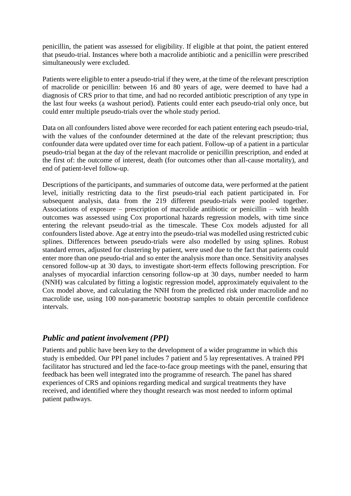penicillin, the patient was assessed for eligibility. If eligible at that point, the patient entered that pseudo-trial. Instances where both a macrolide antibiotic and a penicillin were prescribed simultaneously were excluded.

Patients were eligible to enter a pseudo-trial if they were, at the time of the relevant prescription of macrolide or penicillin: between 16 and 80 years of age, were deemed to have had a diagnosis of CRS prior to that time, and had no recorded antibiotic prescription of any type in the last four weeks (a washout period). Patients could enter each pseudo-trial only once, but could enter multiple pseudo-trials over the whole study period.

Data on all confounders listed above were recorded for each patient entering each pseudo-trial, with the values of the confounder determined at the date of the relevant prescription; thus confounder data were updated over time for each patient. Follow-up of a patient in a particular pseudo-trial began at the day of the relevant macrolide or penicillin prescription, and ended at the first of: the outcome of interest, death (for outcomes other than all-cause mortality), and end of patient-level follow-up.

Descriptions of the participants, and summaries of outcome data, were performed at the patient level, initially restricting data to the first pseudo-trial each patient participated in. For subsequent analysis, data from the 219 different pseudo-trials were pooled together. Associations of exposure – prescription of macrolide antibiotic or penicillin – with health outcomes was assessed using Cox proportional hazards regression models, with time since entering the relevant pseudo-trial as the timescale. These Cox models adjusted for all confounders listed above. Age at entry into the pseudo-trial was modelled using restricted cubic splines. Differences between pseudo-trials were also modelled by using splines. Robust standard errors, adjusted for clustering by patient, were used due to the fact that patients could enter more than one pseudo-trial and so enter the analysis more than once. Sensitivity analyses censored follow-up at 30 days, to investigate short-term effects following prescription. For analyses of myocardial infarction censoring follow-up at 30 days, number needed to harm (NNH) was calculated by fitting a logistic regression model, approximately equivalent to the Cox model above, and calculating the NNH from the predicted risk under macrolide and no macrolide use, using 100 non-parametric bootstrap samples to obtain percentile confidence intervals.

## *Public and patient involvement (PPI)*

Patients and public have been key to the development of a wider programme in which this study is embedded. Our PPI panel includes 7 patient and 5 lay representatives. A trained PPI facilitator has structured and led the face-to-face group meetings with the panel, ensuring that feedback has been well integrated into the programme of research. The panel has shared experiences of CRS and opinions regarding medical and surgical treatments they have received, and identified where they thought research was most needed to inform optimal patient pathways.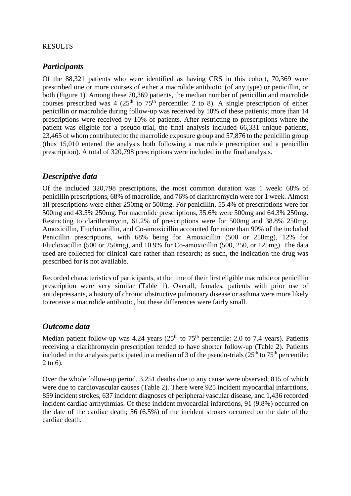### RESULTS

### *Participants*

Of the 88,321 patients who were identified as having CRS in this cohort, 70,369 were prescribed one or more courses of either a macrolide antibiotic (of any type) or penicillin, or both (Figure 1). Among these 70,369 patients, the median number of penicillin and macrolide courses prescribed was 4 (25<sup>th</sup> to  $75<sup>th</sup>$  percentile: 2 to 8). A single prescription of either penicillin or macrolide during follow-up was received by 10% of these patients; more than 14 prescriptions were received by 10% of patients. After restricting to prescriptions where the patient was eligible for a pseudo-trial, the final analysis included 66,331 unique patients, 23,465 of whom contributed to the macrolide exposure group and 57,876 to the penicillin group (thus 15,010 entered the analysis both following a macrolide prescription and a penicillin prescription). A total of 320,798 prescriptions were included in the final analysis.

# *Descriptive data*

Of the included 320,798 prescriptions, the most common duration was 1 week: 68% of penicillin prescriptions, 68% of macrolide, and 76% of clarithromycin were for 1 week. Almost all prescriptions were either 250mg or 500mg. For penicillin, 55.4% of prescriptions were for 500mg and 43.5% 250mg. For macrolide prescriptions, 35.6% were 500mg and 64.3% 250mg. Restricting to clarithromycin, 61.2% of prescriptions were for 500mg and 38.8% 250mg. Amoxicillin, Flucloxacillin, and Co-amoxicillin accounted for more than 90% of the included Penicillin prescriptions, with 68% being for Amoxicillin (500 or 250mg), 12% for Flucloxacillin (500 or 250mg), and 10.9% for Co-amoxicillin (500, 250, or 125mg). The data used are collected for clinical care rather than research; as such, the indication the drug was prescribed for is not available.

Recorded characteristics of participants, at the time of their first eligible macrolide or penicillin prescription were very similar (Table 1). Overall, females, patients with prior use of antidepressants, a history of chronic obstructive pulmonary disease or asthma were more likely to receive a macrolide antibiotic, but these differences were fairly small.

## *Outcome data*

Median patient follow-up was 4.24 years  $(25<sup>th</sup>$  to  $75<sup>th</sup>$  percentile: 2.0 to 7.4 years). Patients receiving a clarithromycin prescription tended to have shorter follow-up (Table 2). Patients included in the analysis participated in a median of 3 of the pseudo-trials  $(25<sup>th</sup>$  to  $75<sup>th</sup>$  percentile: 2 to 6).

Over the whole follow-up period, 3,251 deaths due to any cause were observed, 815 of which were due to cardiovascular causes (Table 2). There were 925 incident myocardial infarctions, 859 incident strokes, 637 incident diagnoses of peripheral vascular disease, and 1,436 recorded incident cardiac arrhythmias. Of these incident myocardial infarctions, 91 (9.8%) occurred on the date of the cardiac death; 56 (6.5%) of the incident strokes occurred on the date of the cardiac death.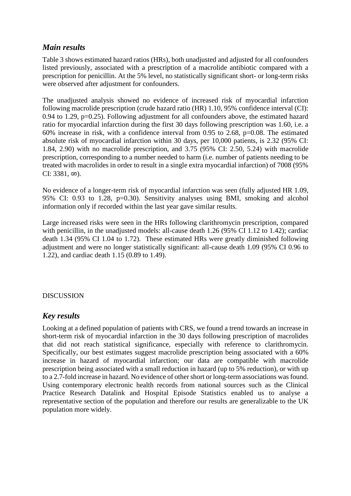# *Main results*

Table 3 shows estimated hazard ratios (HRs), both unadjusted and adjusted for all confounders listed previously, associated with a prescription of a macrolide antibiotic compared with a prescription for penicillin. At the 5% level, no statistically significant short- or long-term risks were observed after adjustment for confounders.

The unadjusted analysis showed no evidence of increased risk of myocardial infarction following macrolide prescription (crude hazard ratio (HR) 1.10, 95% confidence interval (CI): 0.94 to 1.29, p=0.25). Following adjustment for all confounders above, the estimated hazard ratio for myocardial infarction during the first 30 days following prescription was 1.60, i.e. a 60% increase in risk, with a confidence interval from 0.95 to 2.68, p=0.08. The estimated absolute risk of myocardial infarction within 30 days, per 10,000 patients, is 2.32 (95% CI: 1.84, 2.90) with no macrolide prescription, and 3.75 (95% CI: 2.50, 5.24) with macrolide prescription, corresponding to a number needed to harm (i.e. number of patients needing to be treated with macrolides in order to result in a single extra myocardial infarction) of 7008 (95%  $CI: 3381, \omega$ ).

No evidence of a longer-term risk of myocardial infarction was seen (fully adjusted HR 1.09, 95% CI: 0.93 to 1.28, p=0.30). Sensitivity analyses using BMI, smoking and alcohol information only if recorded within the last year gave similar results.

Large increased risks were seen in the HRs following clarithromycin prescription, compared with penicillin, in the unadjusted models: all-cause death 1.26 (95% CI 1.12 to 1.42); cardiac death 1.34 (95% CI 1.04 to 1.72). These estimated HRs were greatly diminished following adjustment and were no longer statistically significant: all-cause death 1.09 (95% CI 0.96 to 1.22), and cardiac death 1.15 (0.89 to 1.49).

### DISCUSSION

## *Key results*

Looking at a defined population of patients with CRS, we found a trend towards an increase in short-term risk of myocardial infarction in the 30 days following prescription of macrolides that did not reach statistical significance, especially with reference to clarithromycin. Specifically, our best estimates suggest macrolide prescription being associated with a 60% increase in hazard of myocardial infarction; our data are compatible with macrolide prescription being associated with a small reduction in hazard (up to 5% reduction), or with up to a 2.7-fold increase in hazard. No evidence of other short or long-term associations was found. Using contemporary electronic health records from national sources such as the Clinical Practice Research Datalink and Hospital Episode Statistics enabled us to analyse a representative section of the population and therefore our results are generalizable to the UK population more widely.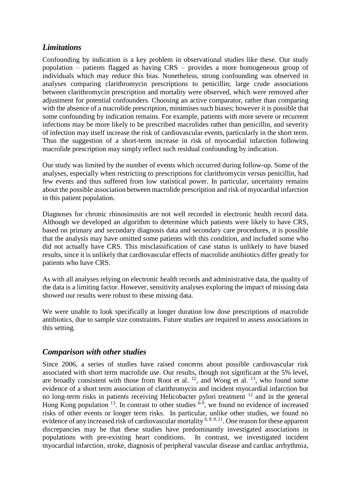# *Limitations*

Confounding by indication is a key problem in observational studies like these. Our study population – patients flagged as having CRS – provides a more homogeneous group of individuals which may reduce this bias. Nonetheless, strong confounding was observed in analyses comparing clarithromycin prescriptions to penicillin; large crude associations between clarithromycin prescription and mortality were observed, which were removed after adjustment for potential confounders. Choosing an active comparator, rather than comparing with the absence of a macrolide prescription, minimises such biases; however it is possible that some confounding by indication remains. For example, patients with more severe or recurrent infections may be more likely to be prescribed macrolides rather than penicillin, and severity of infection may itself increase the risk of cardiovascular events, particularly in the short term. Thus the suggestion of a short-term increase in risk of myocardial infarction following macrolide prescription may simply reflect such residual confounding by indication.

Our study was limited by the number of events which occurred during follow-up. Some of the analyses, especially when restricting to prescriptions for clarithromycin versus penicillin, had few events and thus suffered from low statistical power. In particular, uncertainty remains about the possible association between macrolide prescription and risk of myocardial infarction in this patient population.

Diagnoses for chronic rhinosinusitis are not well recorded in electronic health record data. Although we developed an algorithm to determine which patients were likely to have CRS, based on primary and secondary diagnosis data and secondary care procedures, it is possible that the analysis may have omitted some patients with this condition, and included some who did not actually have CRS. This misclassification of case status is unlikely to have biased results, since it is unlikely that cardiovascular effects of macrolide antibiotics differ greatly for patients who have CRS.

As with all analyses relying on electronic health records and administrative data, the quality of the data is a limiting factor. However, sensitivity analyses exploring the impact of missing data showed our results were robust to these missing data.

We were unable to look specifically at longer duration low dose prescriptions of macrolide antibiotics, due to sample size constraints. Future studies are required to assess associations in this setting.

## *Comparison with other studies*

Since 2006, a series of studies have raised concerns about possible cardiovascular risk associated with short term macrolide use. Our results, though not significant at the 5% level, are broadly consistent with those from Root et al.  $^{12}$ , and Wong et al.  $^{13}$ , who found some evidence of a short term association of clarithromycin and incident myocardial infarction but no long-term risks in patients receiving Helicobacter pylori treatment <sup>12</sup> and in the general Hong Kong population  $13$ . In contrast to other studies  $6-9$ , we found no evidence of increased risks of other events or longer term risks. In particular, unlike other studies, we found no evidence of any increased risk of cardiovascular mortality <sup>6, 8, 9, 11</sup>. One reason for these apparent discrepancies may be that these studies have predominantly investigated associations in populations with pre-existing heart conditions. In contrast, we investigated incident myocardial infarction, stroke, diagnosis of peripheral vascular disease and cardiac arrhythmia,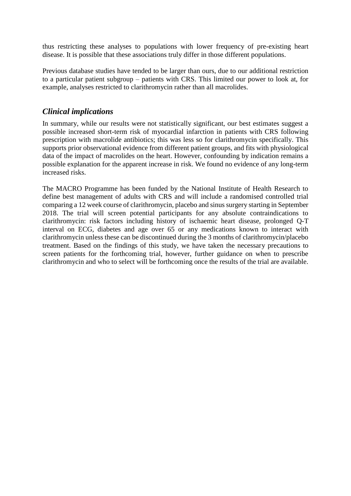thus restricting these analyses to populations with lower frequency of pre-existing heart disease. It is possible that these associations truly differ in those different populations.

Previous database studies have tended to be larger than ours, due to our additional restriction to a particular patient subgroup – patients with CRS. This limited our power to look at, for example, analyses restricted to clarithromycin rather than all macrolides.

# *Clinical implications*

In summary, while our results were not statistically significant, our best estimates suggest a possible increased short-term risk of myocardial infarction in patients with CRS following prescription with macrolide antibiotics; this was less so for clarithromycin specifically. This supports prior observational evidence from different patient groups, and fits with physiological data of the impact of macrolides on the heart. However, confounding by indication remains a possible explanation for the apparent increase in risk. We found no evidence of any long-term increased risks.

The MACRO Programme has been funded by the National Institute of Health Research to define best management of adults with CRS and will include a randomised controlled trial comparing a 12 week course of clarithromycin, placebo and sinus surgery starting in September 2018. The trial will screen potential participants for any absolute contraindications to clarithromycin: risk factors including history of ischaemic heart disease, prolonged Q-T interval on ECG, diabetes and age over 65 or any medications known to interact with clarithromycin unless these can be discontinued during the 3 months of clarithromycin/placebo treatment. Based on the findings of this study, we have taken the necessary precautions to screen patients for the forthcoming trial, however, further guidance on when to prescribe clarithromycin and who to select will be forthcoming once the results of the trial are available.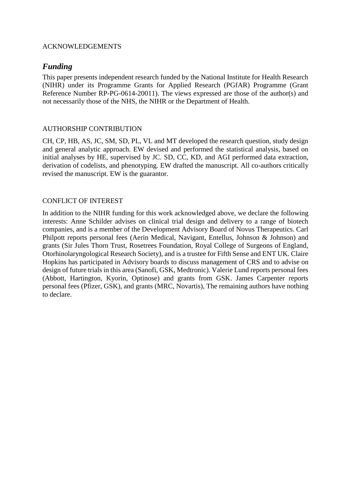### ACKNOWLEDGEMENTS

# *Funding*

This paper presents independent research funded by the National Institute for Health Research (NIHR) under its Programme Grants for Applied Research (PGfAR) Programme (Grant Reference Number RP-PG-0614-20011). The views expressed are those of the author(s) and not necessarily those of the NHS, the NIHR or the Department of Health.

### AUTHORSHIP CONTRIBUTION

CH, CP, HB, AS, JC, SM, SD, PL, VL and MT developed the research question, study design and general analytic approach. EW devised and performed the statistical analysis, based on initial analyses by HE, supervised by JC. SD, CC, KD, and AGI performed data extraction, derivation of codelists, and phenotyping. EW drafted the manuscript. All co-authors critically revised the manuscript. EW is the guarantor.

#### CONFLICT OF INTEREST

In addition to the NIHR funding for this work acknowledged above, we declare the following interests: Anne Schilder advises on clinical trial design and delivery to a range of biotech companies, and is a member of the Development Advisory Board of Novus Therapeutics. Carl Philpott reports personal fees (Aerin Medical, Navigant, Entellus, Johnson & Johnson) and grants (Sir Jules Thorn Trust, Rosetrees Foundation, Royal College of Surgeons of England, Otorhinolaryngological Research Society), and is a trustee for Fifth Sense and ENT UK. Claire Hopkins has participated in Advisory boards to discuss management of CRS and to advise on design of future trials in this area (Sanofi, GSK, Medtronic). Valerie Lund reports personal fees (Abbott, Hartington, Kyorin, Optinose) and grants from GSK. James Carpenter reports personal fees (Pfizer, GSK), and grants (MRC, Novartis), The remaining authors have nothing to declare.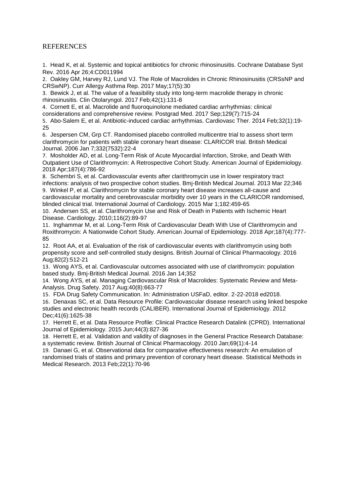#### REFERENCES

1. Head K, et al. Systemic and topical antibiotics for chronic rhinosinusitis. Cochrane Database Syst Rev. 2016 Apr 26;4:CD011994

2. Oakley GM, Harvey RJ, Lund VJ. The Role of Macrolides in Chronic Rhinosinusitis (CRSsNP and CRSwNP). Curr Allergy Asthma Rep. 2017 May;17(5):30

3. Bewick J, et al. The value of a feasibility study into long-term macrolide therapy in chronic rhinosinusitis. Clin Otolaryngol. 2017 Feb;42(1):131-8

4. Cornett E, et al. Macrolide and fluoroquinolone mediated cardiac arrhythmias: clinical considerations and comprehensive review. Postgrad Med. 2017 Sep;129(7):715-24

5. Abo-Salem E, et al. Antibiotic-induced cardiac arrhythmias. Cardiovasc Ther. 2014 Feb;32(1):19- 25

6. Jespersen CM, Grp CT. Randomised placebo controlled multicentre trial to assess short term clarithromycin for patients with stable coronary heart disease: CLARICOR trial. British Medical Journal. 2006 Jan 7;332(7532):22-4

7. Mosholder AD, et al. Long-Term Risk of Acute Myocardial Infarction, Stroke, and Death With Outpatient Use of Clarithromycin: A Retrospective Cohort Study. American Journal of Epidemiology. 2018 Apr;187(4):786-92

8. Schembri S, et al. Cardiovascular events after clarithromycin use in lower respiratory tract infections: analysis of two prospective cohort studies. Bmj-British Medical Journal. 2013 Mar 22;346 9. Winkel P, et al. Clarithromycin for stable coronary heart disease increases all-cause and cardiovascular mortality and cerebrovascular morbidity over 10 years in the CLARICOR randomised, blinded clinical trial. International Journal of Cardiology. 2015 Mar 1;182:459-65

10. Andersen SS, et al. Clarithromycin Use and Risk of Death in Patients with Ischemic Heart Disease. Cardiology. 2010;116(2):89-97

11. Inghammar M, et al. Long-Term Risk of Cardiovascular Death With Use of Clarithromycin and Roxithromycin: A Nationwide Cohort Study. American Journal of Epidemiology. 2018 Apr;187(4):777- 85

12. Root AA, et al. Evaluation of the risk of cardiovascular events with clarithromycin using both propensity score and self-controlled study designs. British Journal of Clinical Pharmacology. 2016 Aug;82(2):512-21

13. Wong AYS, et al. Cardiovascular outcomes associated with use of clarithromycin: population based study. Bmj-British Medical Journal. 2016 Jan 14;352

14. Wong AYS, et al. Managing Cardiovascular Risk of Macrolides: Systematic Review and Meta-Analysis. Drug Safety. 2017 Aug;40(8):663-77

15. FDA Drug Safety Communication. In: Administration USFaD, editor. 2-22-2018 ed2018. 16. Denaxas SC, et al. Data Resource Profile: Cardiovascular disease research using linked bespoke studies and electronic health records (CALIBER). International Journal of Epidemiology. 2012 Dec;41(6):1625-38

17. Herrett E, et al. Data Resource Profile: Clinical Practice Research Datalink (CPRD). International Journal of Epidemiology. 2015 Jun;44(3):827-36

18. Herrett E, et al. Validation and validity of diagnoses in the General Practice Research Database: a systematic review. British Journal of Clinical Pharmacology. 2010 Jan;69(1):4-14

19. Danaei G, et al. Observational data for comparative effectiveness research: An emulation of randomised trials of statins and primary prevention of coronary heart disease. Statistical Methods in Medical Research. 2013 Feb;22(1):70-96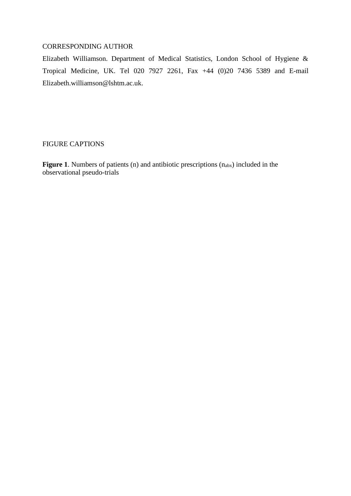### CORRESPONDING AUTHOR

Elizabeth Williamson. Department of Medical Statistics, London School of Hygiene & Tropical Medicine, UK. Tel 020 7927 2261, Fax +44 (0)20 7436 5389 and E-mail Elizabeth.williamson@lshtm.ac.uk.

#### FIGURE CAPTIONS

**Figure 1.** Numbers of patients (n) and antibiotic prescriptions (n<sub>abx</sub>) included in the observational pseudo-trials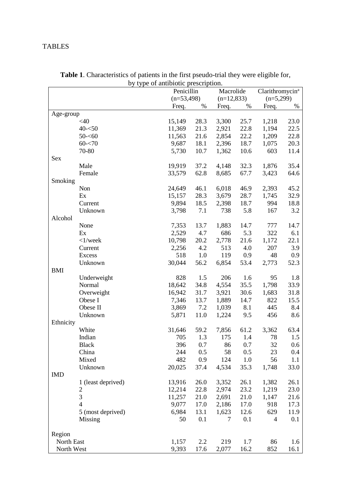# TABLES

|            |                    |        | rendrome present<br>,<br>Penicillin<br>Macrolide |       |              |       |                                            |  |
|------------|--------------------|--------|--------------------------------------------------|-------|--------------|-------|--------------------------------------------|--|
|            |                    |        | $(n=53,498)$                                     |       | $(n=12,833)$ |       | Clarithromycin <sup>a</sup><br>$(n=5,299)$ |  |
|            |                    | Freq.  | $\%$                                             | Freq. | $\%$         | Freq. | %                                          |  |
| Age-group  |                    |        |                                                  |       |              |       |                                            |  |
|            | $<$ 40             | 15,149 | 28.3                                             | 3,300 | 25.7         | 1,218 | 23.0                                       |  |
|            | $40 - 50$          | 11,369 | 21.3                                             | 2,921 | 22.8         | 1,194 | 22.5                                       |  |
|            | $50 - 60$          | 11,563 | 21.6                                             | 2,854 | 22.2         | 1,209 | 22.8                                       |  |
|            | $60 - 70$          | 9,687  | 18.1                                             | 2,396 | 18.7         | 1,075 | 20.3                                       |  |
|            | 70-80              | 5,730  | 10.7                                             | 1,362 | 10.6         | 603   | 11.4                                       |  |
| Sex        |                    |        |                                                  |       |              |       |                                            |  |
|            | Male               | 19,919 | 37.2                                             | 4,148 | 32.3         | 1,876 | 35.4                                       |  |
|            | Female             | 33,579 | 62.8                                             | 8,685 | 67.7         | 3,423 | 64.6                                       |  |
| Smoking    |                    |        |                                                  |       |              |       |                                            |  |
|            | Non                | 24,649 | 46.1                                             | 6,018 | 46.9         | 2,393 | 45.2                                       |  |
|            | Ex                 | 15,157 | 28.3                                             | 3,679 | 28.7         | 1,745 | 32.9                                       |  |
|            | Current            | 9,894  | 18.5                                             | 2,398 | 18.7         | 994   | 18.8                                       |  |
|            | Unknown            | 3,798  | 7.1                                              | 738   | 5.8          | 167   | 3.2                                        |  |
| Alcohol    |                    |        |                                                  |       |              |       |                                            |  |
|            | None               | 7,353  | 13.7                                             | 1,883 | 14.7         | 777   | 14.7                                       |  |
|            | Ex                 | 2,529  | 4.7                                              | 686   | 5.3          | 322   | 6.1                                        |  |
|            | $<$ 1/week         | 10,798 | 20.2                                             | 2,778 | 21.6         | 1,172 | 22.1                                       |  |
|            | Current            | 2,256  | 4.2                                              | 513   | 4.0          | 207   | 3.9                                        |  |
|            | Excess             | 518    | 1.0                                              | 119   | 0.9          | 48    | 0.9                                        |  |
|            | Unknown            | 30,044 | 56.2                                             | 6,854 | 53.4         | 2,773 | 52.3                                       |  |
| <b>BMI</b> |                    |        |                                                  |       |              |       |                                            |  |
|            | Underweight        | 828    | 1.5                                              | 206   | 1.6          | 95    | 1.8                                        |  |
|            | Normal             | 18,642 | 34.8                                             | 4,554 | 35.5         | 1,798 | 33.9                                       |  |
|            | Overweight         | 16,942 | 31.7                                             | 3,921 | 30.6         | 1,683 | 31.8                                       |  |
|            | Obese I            | 7,346  | 13.7                                             | 1,889 | 14.7         | 822   | 15.5                                       |  |
|            | Obese II           | 3,869  | 7.2                                              | 1,039 | 8.1          | 445   | 8.4                                        |  |
|            | Unknown            | 5,871  | 11.0                                             | 1,224 | 9.5          | 456   | 8.6                                        |  |
| Ethnicity  |                    |        |                                                  |       |              |       |                                            |  |
|            | White              | 31,646 | 59.2                                             | 7,856 | 61.2         | 3,362 | 63.4                                       |  |
|            | Indian             | 705    | 1.3                                              | 175   | 1.4          | 78    | 1.5                                        |  |
|            | <b>Black</b>       | 396    | 0.7                                              | 86    | 0.7          | 32    | 0.6                                        |  |
|            | China              | 244    | 0.5                                              | 58    | 0.5          | 23    | $0.4\,$                                    |  |
|            | Mixed              | 482    | 0.9                                              | 124   | 1.0          | 56    | 1.1                                        |  |
|            | Unknown            | 20,025 | 37.4                                             | 4,534 | 35.3         | 1,748 | 33.0                                       |  |
| IMD        |                    |        |                                                  |       |              |       |                                            |  |
|            | 1 (least deprived) | 13,916 | 26.0                                             | 3,352 | 26.1         | 1,382 | 26.1                                       |  |
|            | $\mathbf{2}$       | 12,214 | 22.8                                             | 2,974 | 23.2         | 1,219 | 23.0                                       |  |
|            | 3                  | 11,257 | 21.0                                             | 2,691 | 21.0         | 1,147 | 21.6                                       |  |
|            | $\overline{4}$     | 9,077  | 17.0                                             | 2,186 | 17.0         | 918   | 17.3                                       |  |
|            | 5 (most deprived)  | 6,984  | 13.1                                             | 1,623 | 12.6         | 629   | 11.9                                       |  |
|            | Missing            | 50     | 0.1                                              | 7     | 0.1          | 4     | 0.1                                        |  |
| Region     |                    |        |                                                  |       |              |       |                                            |  |
| North East |                    | 1,157  | 2.2                                              | 219   | 1.7          | 86    | 1.6                                        |  |
| North West |                    | 9,393  | 17.6                                             | 2,077 | 16.2         | 852   | 16.1                                       |  |

**Table 1**. Characteristics of patients in the first pseudo-trial they were eligible for, by type of antibiotic prescription.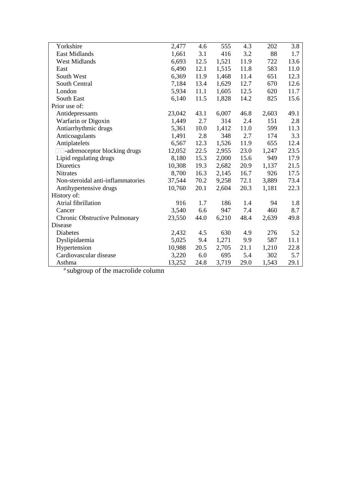| Yorkshire                           | 2,477  | 4.6  | 555   | 4.3  | 202   | 3.8  |
|-------------------------------------|--------|------|-------|------|-------|------|
| <b>East Midlands</b>                | 1,661  | 3.1  | 416   | 3.2  | 88    | 1.7  |
| <b>West Midlands</b>                | 6,693  | 12.5 | 1,521 | 11.9 | 722   | 13.6 |
| East                                | 6,490  | 12.1 | 1,515 | 11.8 | 583   | 11.0 |
| South West                          | 6,369  | 11.9 | 1,468 | 11.4 | 651   | 12.3 |
| South Central                       | 7,184  | 13.4 | 1,629 | 12.7 | 670   | 12.6 |
| London                              | 5,934  | 11.1 | 1,605 | 12.5 | 620   | 11.7 |
| South East                          | 6,140  | 11.5 | 1,828 | 14.2 | 825   | 15.6 |
| Prior use of:                       |        |      |       |      |       |      |
| Antidepressants                     | 23,042 | 43.1 | 6,007 | 46.8 | 2,603 | 49.1 |
| Warfarin or Digoxin                 | 1,449  | 2.7  | 314   | 2.4  | 151   | 2.8  |
| Antiarrhythmic drugs                | 5,361  | 10.0 | 1,412 | 11.0 | 599   | 11.3 |
| Anticoagulants                      | 1,491  | 2.8  | 348   | 2.7  | 174   | 3.3  |
| Antiplatelets                       | 6,567  | 12.3 | 1,526 | 11.9 | 655   | 12.4 |
| $\Box$ -adrenoceptor blocking drugs | 12,052 | 22.5 | 2,955 | 23.0 | 1,247 | 23.5 |
| Lipid regulating drugs              | 8,180  | 15.3 | 2,000 | 15.6 | 949   | 17.9 |
| <b>Diuretics</b>                    | 10,308 | 19.3 | 2,682 | 20.9 | 1,137 | 21.5 |
| Nitrates                            | 8,700  | 16.3 | 2,145 | 16.7 | 926   | 17.5 |
| Non-steroidal anti-inflammatories   | 37,544 | 70.2 | 9,258 | 72.1 | 3,889 | 73.4 |
| Antihypertensive drugs              | 10,760 | 20.1 | 2,604 | 20.3 | 1,181 | 22.3 |
| History of:                         |        |      |       |      |       |      |
| Atrial fibrillation                 | 916    | 1.7  | 186   | 1.4  | 94    | 1.8  |
| Cancer                              | 3,540  | 6.6  | 947   | 7.4  | 460   | 8.7  |
| Chronic Obstructive Pulmonary       | 23,550 | 44.0 | 6,210 | 48.4 | 2,639 | 49.8 |
| Disease                             |        |      |       |      |       |      |
| <b>Diabetes</b>                     | 2,432  | 4.5  | 630   | 4.9  | 276   | 5.2  |
| Dyslipidaemia                       | 5,025  | 9.4  | 1,271 | 9.9  | 587   | 11.1 |
| Hypertension                        | 10,988 | 20.5 | 2,705 | 21.1 | 1,210 | 22.8 |
| Cardiovascular disease              | 3,220  | 6.0  | 695   | 5.4  | 302   | 5.7  |
| Asthma                              | 13,252 | 24.8 | 3,719 | 29.0 | 1,543 | 29.1 |

<sup>a</sup> subgroup of the macrolide column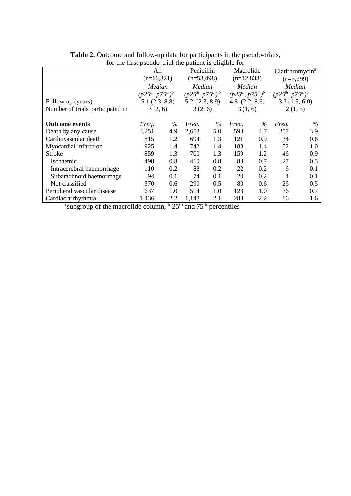| for the first pseudo-trial the patient is eligible for |                          |     |                          |      |                          |      |                             |     |  |
|--------------------------------------------------------|--------------------------|-----|--------------------------|------|--------------------------|------|-----------------------------|-----|--|
|                                                        | All                      |     | <b>Penicillin</b>        |      | Macrolide                |      | Clarithromycin <sup>a</sup> |     |  |
|                                                        | $(n=66,321)$             |     | $(n=53,498)$             |      | $(n=12,833)$             |      | $(n=5,299)$                 |     |  |
|                                                        | Median                   |     | Median                   |      | Median                   |      | Median                      |     |  |
|                                                        | $(p25^{th}, p75^{th})^b$ |     | $(p25^{th}, p75^{th})^b$ |      | $(p25^{th}, p75^{th})^b$ |      | $(p25^{th}, p75^{th})^b$    |     |  |
| Follow-up (years)                                      | 5.1(2.3, 8.8)            |     | $5.2$ $(2.3, 8.9)$       |      | 4.8 $(2.2, 8.6)$         |      | 3.3(1.5, 6.0)               |     |  |
| Number of trials participated in                       | 3(2, 6)                  |     | 3(2, 6)                  |      | 3(1, 6)                  |      | 2(1, 5)                     |     |  |
|                                                        |                          |     |                          |      |                          |      |                             |     |  |
| <b>Outcome events</b>                                  | Freq.                    | %   | Freq.                    | $\%$ | Freq.                    | $\%$ | Freq.                       | %   |  |
| Death by any cause                                     | 3,251                    | 4.9 | 2,653                    | 5.0  | 598                      | 4.7  | 207                         | 3.9 |  |
| Cardiovascular death                                   | 815                      | 1.2 | 694                      | 1.3  | 121                      | 0.9  | 34                          | 0.6 |  |
| Myocardial infarction                                  | 925                      | 1.4 | 742                      | 1.4  | 183                      | 1.4  | 52                          | 1.0 |  |
| <b>Stroke</b>                                          | 859                      | 1.3 | 700                      | 1.3  | 159                      | 1.2  | 46                          | 0.9 |  |
| Ischaemic                                              | 498                      | 0.8 | 410                      | 0.8  | 88                       | 0.7  | 27                          | 0.5 |  |
| Intracerebral haemorrhage                              | 110                      | 0.2 | 88                       | 0.2  | 22                       | 0.2  | 6                           | 0.1 |  |
| Subarachnoid haemorrhage                               | 94                       | 0.1 | 74                       | 0.1  | 20                       | 0.2  | 4                           | 0.1 |  |
| Not classified                                         | 370                      | 0.6 | 290                      | 0.5  | 80                       | 0.6  | 26                          | 0.5 |  |
| Peripheral vascular disease                            | 637                      | 1.0 | 514                      | 1.0  | 123                      | 1.0  | 36                          | 0.7 |  |
| Cardiac arrhythmia                                     | 1,436                    | 2.2 | 1,148                    | 2.1  | 288                      | 2.2  | 86                          | 1.6 |  |

**Table 2.** Outcome and follow-up data for participants in the pseudo-trials,

<sup>a</sup> subgroup of the macrolide column,  $\frac{b}{25}$  and  $75^{\text{th}}$  percentiles